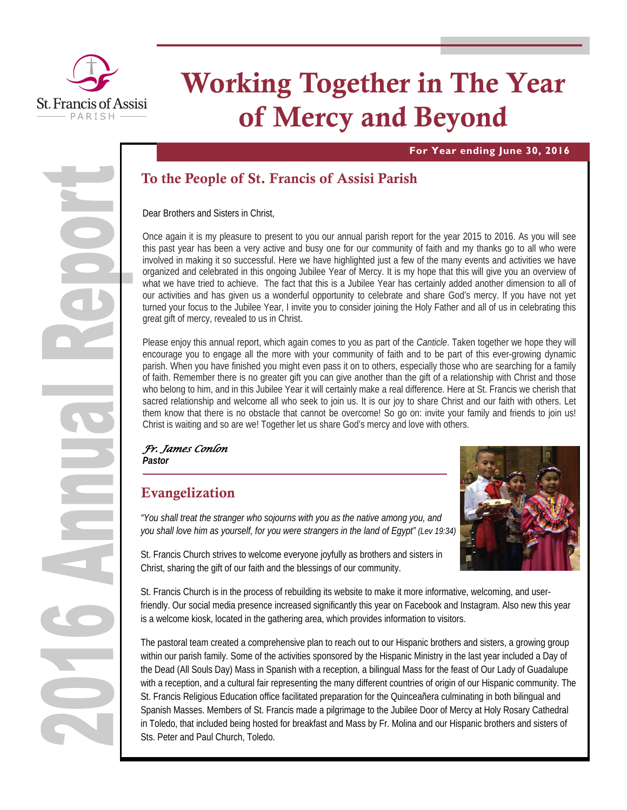

# Working Together in The Year of Mercy and Beyond

#### **For Year ending June 30, 2016**

# To the People of St. Francis of Assisi Parish

Dear Brothers and Sisters in Christ,

Once again it is my pleasure to present to you our annual parish report for the year 2015 to 2016. As you will see this past year has been a very active and busy one for our community of faith and my thanks go to all who were involved in making it so successful. Here we have highlighted just a few of the many events and activities we have organized and celebrated in this ongoing Jubilee Year of Mercy. It is my hope that this will give you an overview of what we have tried to achieve. The fact that this is a Jubilee Year has certainly added another dimension to all of our activities and has given us a wonderful opportunity to celebrate and share God's mercy. If you have not yet turned your focus to the Jubilee Year, I invite you to consider joining the Holy Father and all of us in celebrating this great gift of mercy, revealed to us in Christ.

Please enjoy this annual report, which again comes to you as part of the *Canticle*. Taken together we hope they will encourage you to engage all the more with your community of faith and to be part of this ever-growing dynamic parish. When you have finished you might even pass it on to others, especially those who are searching for a family of faith. Remember there is no greater gift you can give another than the gift of a relationship with Christ and those who belong to him, and in this Jubilee Year it will certainly make a real difference. Here at St. Francis we cherish that sacred relationship and welcome all who seek to join us. It is our joy to share Christ and our faith with others. Let them know that there is no obstacle that cannot be overcome! So go on: invite your family and friends to join us! Christ is waiting and so are we! Together let us share God's mercy and love with others.

#### *Fr. James Conlon Pastor*

### Evangelization

*"You shall treat the stranger who sojourns with you as the native among you, and you shall love him as yourself, for you were strangers in the land of Egypt" (Lev 19:34)*

St. Francis Church strives to welcome everyone joyfully as brothers and sisters in Christ, sharing the gift of our faith and the blessings of our community.

St. Francis Church is in the process of rebuilding its website to make it more informative, welcoming, and userfriendly. Our social media presence increased significantly this year on Facebook and Instagram. Also new this year is a welcome kiosk, located in the gathering area, which provides information to visitors.

The pastoral team created a comprehensive plan to reach out to our Hispanic brothers and sisters, a growing group within our parish family. Some of the activities sponsored by the Hispanic Ministry in the last year included a Day of the Dead (All Souls Day) Mass in Spanish with a reception, a bilingual Mass for the feast of Our Lady of Guadalupe with a reception, and a cultural fair representing the many different countries of origin of our Hispanic community. The St. Francis Religious Education office facilitated preparation for the Quinceañera culminating in both bilingual and Spanish Masses. Members of St. Francis made a pilgrimage to the Jubilee Door of Mercy at Holy Rosary Cathedral in Toledo, that included being hosted for breakfast and Mass by Fr. Molina and our Hispanic brothers and sisters of Sts. Peter and Paul Church, Toledo.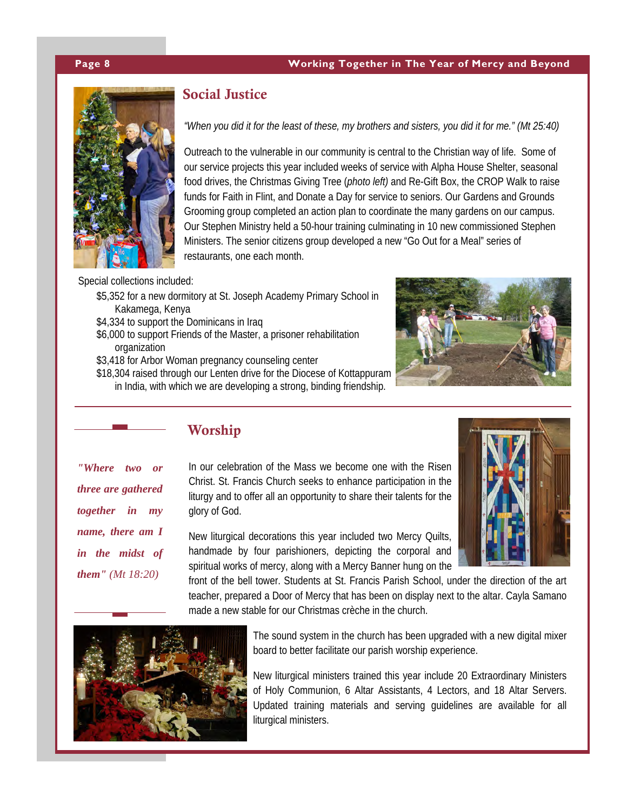#### **Page 8 Working Together in The Year of Mercy and Beyond**

*"When you did it for the least of these, my brothers and sisters, you did it for me." (Mt 25:40)* 

Outreach to the vulnerable in our community is central to the Christian way of life. Some of our service projects this year included weeks of service with Alpha House Shelter, seasonal food drives, the Christmas Giving Tree (*photo left)* and Re-Gift Box, the CROP Walk to raise funds for Faith in Flint, and Donate a Day for service to seniors. Our Gardens and Grounds Grooming group completed an action plan to coordinate the many gardens on our campus. Our Stephen Ministry held a 50-hour training culminating in 10 new commissioned Stephen

Ministers. The senior citizens group developed a new "Go Out for a Meal" series of



Special collections included:

\$5,352 for a new dormitory at St. Joseph Academy Primary School in Kakamega, Kenya

restaurants, one each month.

Social Justice

- \$4,334 to support the Dominicans in Iraq
- \$6,000 to support Friends of the Master, a prisoner rehabilitation organization
- \$3,418 for Arbor Woman pregnancy counseling center
- \$18,304 raised through our Lenten drive for the Diocese of Kottappuram in India, with which we are developing a strong, binding friendship.



*"Where two or three are gathered together in my name, there am I in the midst of them" (Mt 18:20)*

#### Worship

In our celebration of the Mass we become one with the Risen Christ. St. Francis Church seeks to enhance participation in the liturgy and to offer all an opportunity to share their talents for the glory of God.

New liturgical decorations this year included two Mercy Quilts, handmade by four parishioners, depicting the corporal and spiritual works of mercy, along with a Mercy Banner hung on the

front of the bell tower. Students at St. Francis Parish School, under the direction of the art teacher, prepared a Door of Mercy that has been on display next to the altar. Cayla Samano made a new stable for our Christmas crèche in the church.



The sound system in the church has been upgraded with a new digital mixer board to better facilitate our parish worship experience.

New liturgical ministers trained this year include 20 Extraordinary Ministers of Holy Communion, 6 Altar Assistants, 4 Lectors, and 18 Altar Servers. Updated training materials and serving guidelines are available for all liturgical ministers.

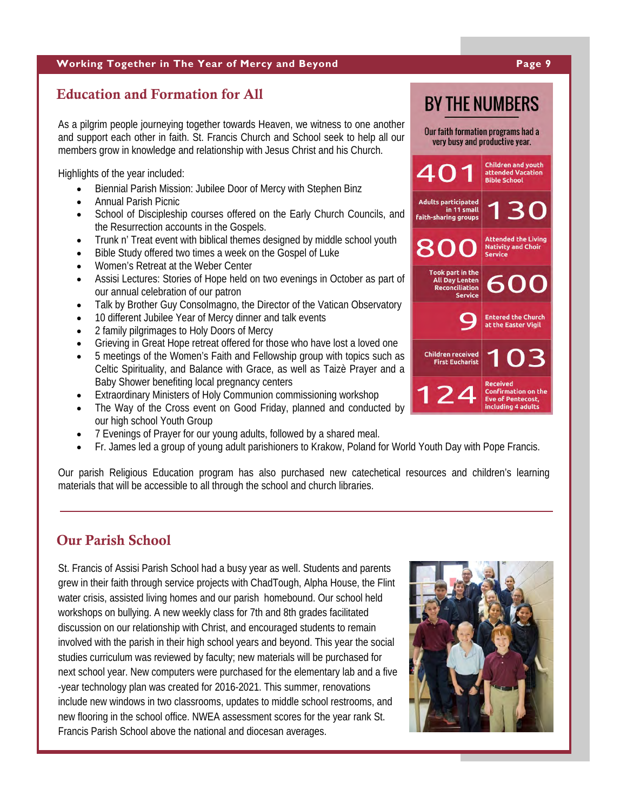#### **Working Together in The Year of Mercy and Beyond Page 9 and Page 9**

### Education and Formation for All

As a pilgrim people journeying together towards Heaven, we witness to one another and support each other in faith. St. Francis Church and School seek to help all our members grow in knowledge and relationship with Jesus Christ and his Church.

Highlights of the year included:

- Biennial Parish Mission: Jubilee Door of Mercy with Stephen Binz
- Annual Parish Picnic
- School of Discipleship courses offered on the Early Church Councils, and the Resurrection accounts in the Gospels.
- Trunk n' Treat event with biblical themes designed by middle school youth
- Bible Study offered two times a week on the Gospel of Luke
- Women's Retreat at the Weber Center
- Assisi Lectures: Stories of Hope held on two evenings in October as part of our annual celebration of our patron
- Talk by Brother Guy Consolmagno, the Director of the Vatican Observatory
- 10 different Jubilee Year of Mercy dinner and talk events
- 2 family pilgrimages to Holy Doors of Mercy
- Grieving in Great Hope retreat offered for those who have lost a loved one
- 5 meetings of the Women's Faith and Fellowship group with topics such as Celtic Spirituality, and Balance with Grace, as well as Taizè Prayer and a Baby Shower benefiting local pregnancy centers
- Extraordinary Ministers of Holy Communion commissioning workshop
- The Way of the Cross event on Good Friday, planned and conducted by our high school Youth Group
- 7 Evenings of Prayer for our young adults, followed by a shared meal.
- Fr. James led a group of young adult parishioners to Krakow, Poland for World Youth Day with Pope Francis.

Our parish Religious Education program has also purchased new catechetical resources and children's learning materials that will be accessible to all through the school and church libraries.

### Our Parish School

St. Francis of Assisi Parish School had a busy year as well. Students and parents grew in their faith through service projects with ChadTough, Alpha House, the Flint water crisis, assisted living homes and our parish homebound. Our school held workshops on bullying. A new weekly class for 7th and 8th grades facilitated discussion on our relationship with Christ, and encouraged students to remain involved with the parish in their high school years and beyond. This year the social studies curriculum was reviewed by faculty; new materials will be purchased for next school year. New computers were purchased for the elementary lab and a five -year technology plan was created for 2016-2021. This summer, renovations include new windows in two classrooms, updates to middle school restrooms, and new flooring in the school office. NWEA assessment scores for the year rank St. Francis Parish School above the national and diocesan averages.



# **BY THE NUMBERS**

Our faith formation programs had a very busy and productive year. **Children and youth** attended Vacation

**Attended the Living** 

**Bible School** 

**Adults participated** in 11 small **Faith-sharing groups** 

**Nativity and Choir Took part in the All Day Lenten Reconciliation Service Entered the Church** at the Easter Vigil **Children received First Eucharist Received Confirmation on the Eve of Pentecost** including 4 adults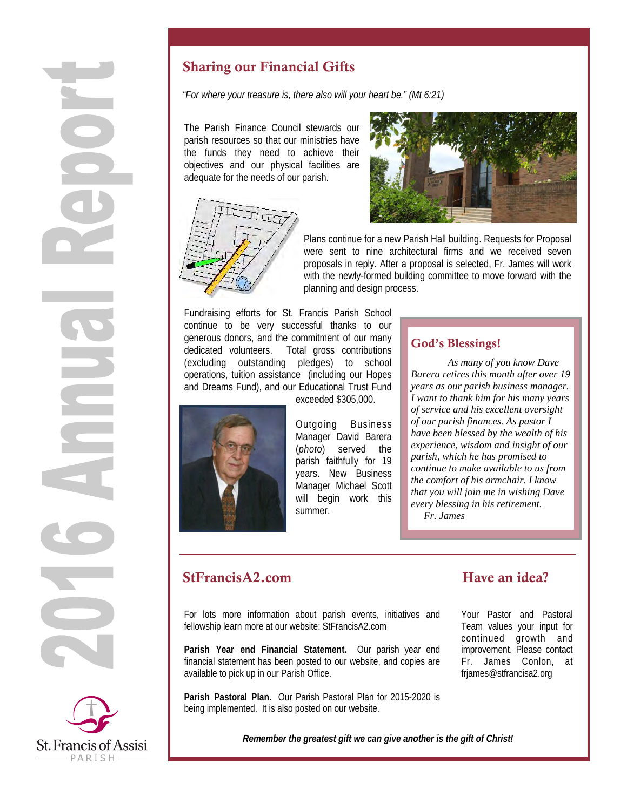

# Sharing our Financial Gifts

*"For where your treasure is, there also will your heart be." (Mt 6:21)*

The Parish Finance Council stewards our parish resources so that our ministries have the funds they need to achieve their objectives and our physical facilities are adequate for the needs of our parish.





Plans continue for a new Parish Hall building. Requests for Proposal were sent to nine architectural firms and we received seven proposals in reply. After a proposal is selected, Fr. James will work with the newly-formed building committee to move forward with the planning and design process.

Fundraising efforts for St. Francis Parish School continue to be very successful thanks to our generous donors, and the commitment of our many dedicated volunteers. Total gross contributions (excluding outstanding pledges) to school operations, tuition assistance (including our Hopes and Dreams Fund), and our Educational Trust Fund

exceeded \$305,000.

Outgoing Business Manager David Barera (*photo*) served the parish faithfully for 19 years. New Business Manager Michael Scott will begin work this summer.

#### God's Blessings!

*As many of you know Dave Barera retires this month after over 19 years as our parish business manager. I want to thank him for his many years of service and his excellent oversight of our parish finances. As pastor I have been blessed by the wealth of his experience, wisdom and insight of our parish, which he has promised to continue to make available to us from the comfort of his armchair. I know that you will join me in wishing Dave every blessing in his retirement. Fr. James* 

#### StFrancisA2.com Have an idea?

For lots more information about parish events, initiatives and fellowship learn more at our website: StFrancisA2.com

**Parish Year end Financial Statement.** Our parish year end financial statement has been posted to our website, and copies are available to pick up in our Parish Office.

**Parish Pastoral Plan.** Our Parish Pastoral Plan for 2015-2020 is being implemented. It is also posted on our website.

Your Pastor and Pastoral Team values your input for continued growth and improvement. Please contact Fr. James Conlon, at frjames@stfrancisa2.org

*Remember the greatest gift we can give another is the gift of Christ!*